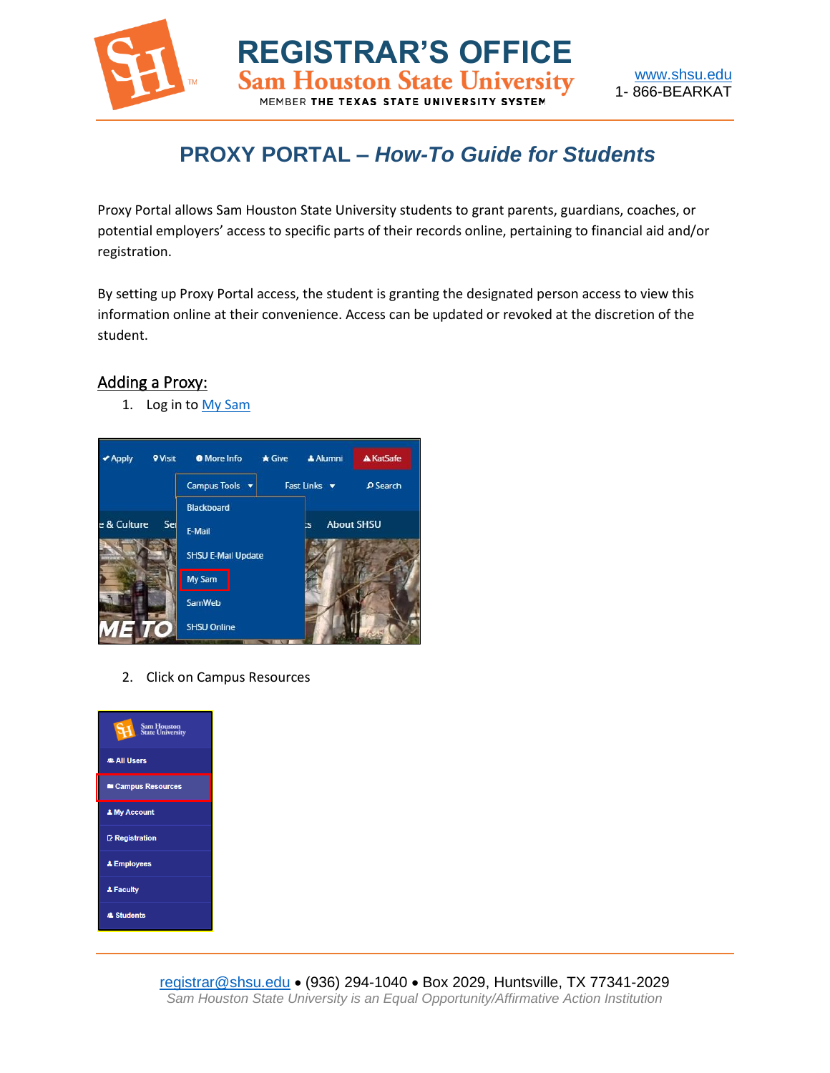

## **PROXY PORTAL –** *How-To Guide for Students*

Proxy Portal allows Sam Houston State University students to grant parents, guardians, coaches, or potential employers' access to specific parts of their records online, pertaining to financial aid and/or registration.

By setting up Proxy Portal access, the student is granting the designated person access to view this information online at their convenience. Access can be updated or revoked at the discretion of the student.

## Adding a Proxy:

1. Log in to My [Sam](https://mysam.shsu.edu/campus-resources/)



2. Click on Campus Resources

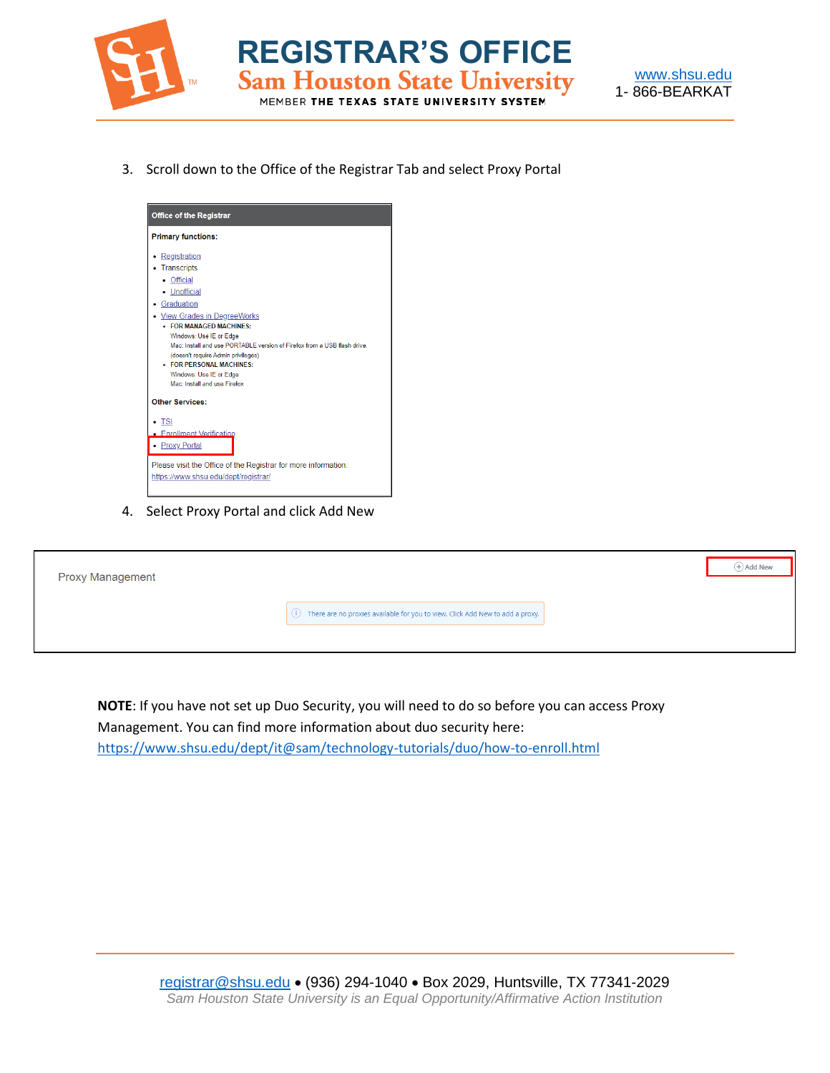



3. Scroll down to the Office of the Registrar Tab and select Proxy Portal

**REGISTRAR'S OFFICE**

MEMBER THE TEXAS STATE UNIVERSITY SYSTEM



4. Select Proxy Portal and click Add New

| <b>Proxy Management</b> |                                                                                    | $(+)$ Add New |
|-------------------------|------------------------------------------------------------------------------------|---------------|
|                         | There are no proxies available for you to view. Click Add New to add a proxy.<br>⊙ |               |
|                         |                                                                                    |               |

**NOTE**: If you have not set up Duo Security, you will need to do so before you can access Proxy Management. You can find more information about duo security here: <https://www.shsu.edu/dept/it@sam/technology-tutorials/duo/how-to-enroll.html>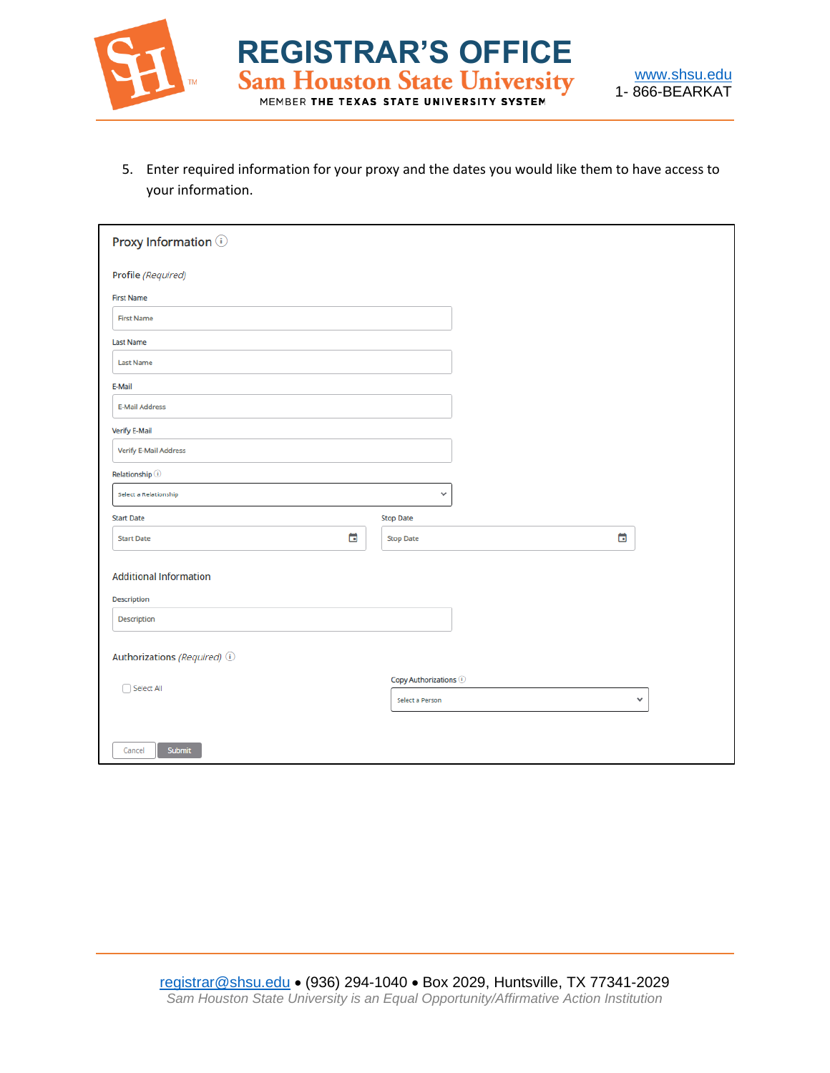

5. Enter required information for your proxy and the dates you would like them to have access to your information.

**REGISTRAR'S OFFICE**<br>Sam Houston State University

MEMBER THE TEXAS STATE UNIVERSITY SYSTEM

| Proxy Information (i)         |                                                    |              |  |
|-------------------------------|----------------------------------------------------|--------------|--|
| Profile (Required)            |                                                    |              |  |
| <b>First Name</b>             |                                                    |              |  |
| <b>First Name</b>             |                                                    |              |  |
| <b>Last Name</b>              |                                                    |              |  |
| <b>Last Name</b>              |                                                    |              |  |
| E-Mail                        |                                                    |              |  |
| <b>E-Mail Address</b>         |                                                    |              |  |
| <b>Verify E-Mail</b>          |                                                    |              |  |
| <b>Verify E-Mail Address</b>  |                                                    |              |  |
| Relationship <sup>1</sup>     |                                                    |              |  |
| Select a Relationship         | v                                                  |              |  |
| <b>Start Date</b>             | <b>Stop Date</b>                                   |              |  |
| ö<br><b>Start Date</b>        | <b>Stop Date</b>                                   | ö            |  |
|                               |                                                    |              |  |
| <b>Additional Information</b> |                                                    |              |  |
| Description                   |                                                    |              |  |
| Description                   |                                                    |              |  |
|                               |                                                    |              |  |
| Authorizations (Required) (i) |                                                    |              |  |
| Select All                    | Copy Authorizations $\textcircled{\scriptsize{1}}$ |              |  |
|                               | Select a Person                                    | $\checkmark$ |  |
|                               |                                                    |              |  |
| Submit<br>Cancel              |                                                    |              |  |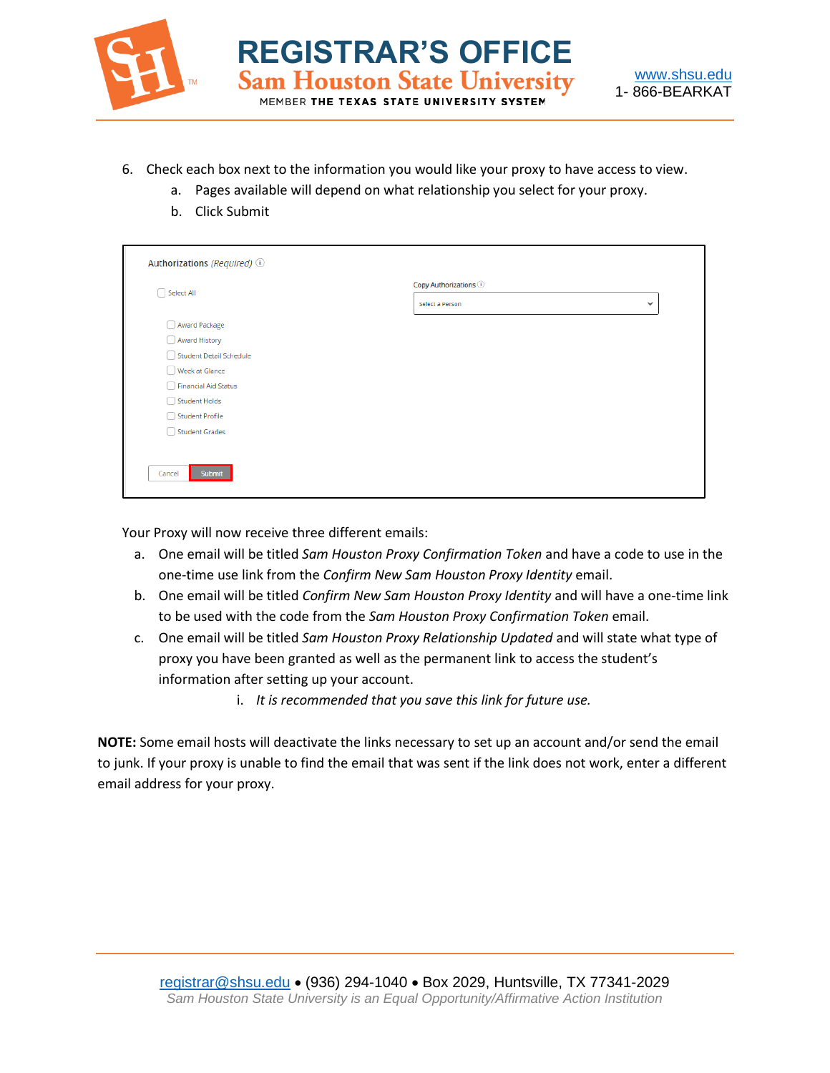

**REGISTRAR'S OFFICE**<br>Sam Houston State University

- 6. Check each box next to the information you would like your proxy to have access to view.
	- a. Pages available will depend on what relationship you select for your proxy.
	- b. Click Submit

| Select All              | Copy Authorizations (i) |              |
|-------------------------|-------------------------|--------------|
|                         | Select a Person         | $\checkmark$ |
| Award Package           |                         |              |
| Award History           |                         |              |
| Student Detail Schedule |                         |              |
| Week at Glance          |                         |              |
| Financial Aid Status    |                         |              |
| Student Holds           |                         |              |
| Student Profile         |                         |              |
| Student Grades          |                         |              |
|                         |                         |              |
|                         |                         |              |

Your Proxy will now receive three different emails:

- a. One email will be titled *Sam Houston Proxy Confirmation Token* and have a code to use in the one-time use link from the *Confirm New Sam Houston Proxy Identity* email.
- b. One email will be titled *Confirm New Sam Houston Proxy Identity* and will have a one-time link to be used with the code from the *Sam Houston Proxy Confirmation Token* email.
- c. One email will be titled *Sam Houston Proxy Relationship Updated* and will state what type of proxy you have been granted as well as the permanent link to access the student's information after setting up your account.
	- i. *It is recommended that you save this link for future use.*

**NOTE:** Some email hosts will deactivate the links necessary to set up an account and/or send the email to junk. If your proxy is unable to find the email that was sent if the link does not work, enter a different email address for your proxy.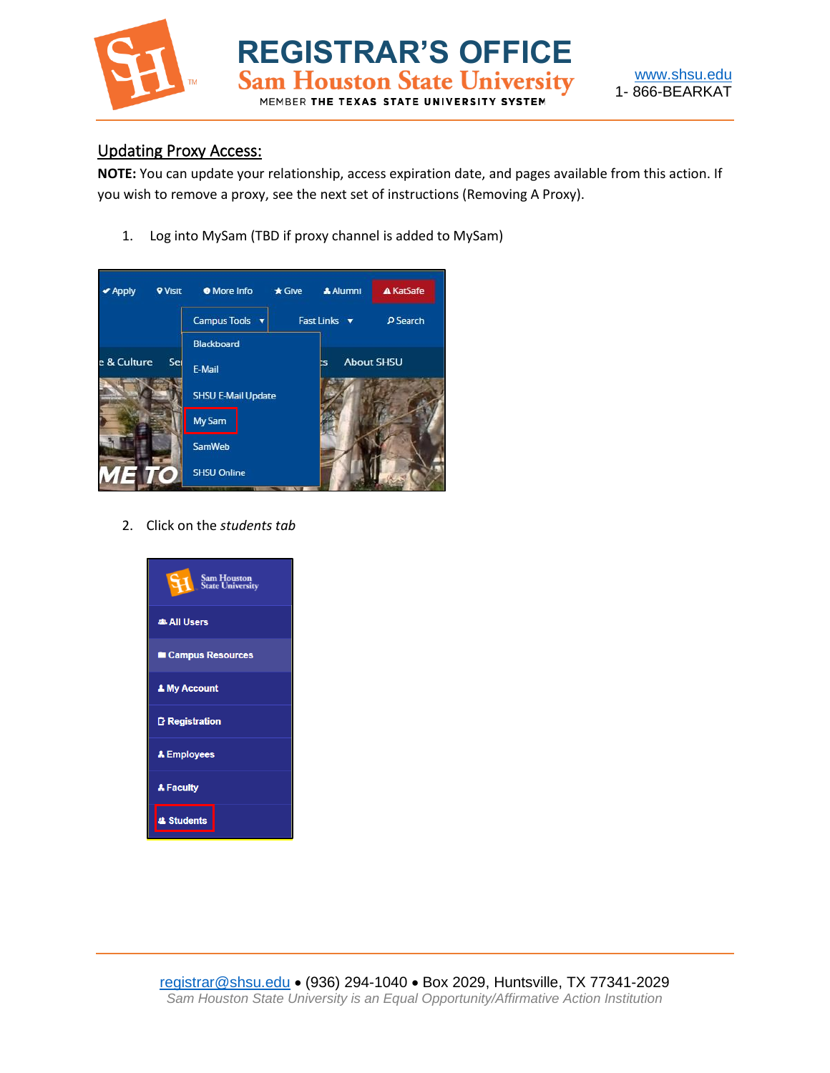

**REGISTRAR'S OFFICE**<br>Sam Houston State University MEMBER THE TEXAS STATE UNIVERS

## Updating Proxy Access:

**NOTE:** You can update your relationship, access expiration date, and pages available from this action. If you wish to remove a proxy, see the next set of instructions (Removing A Proxy).

1. Log into MySam (TBD if proxy channel is added to MySam)



2. Click on the *students tab*

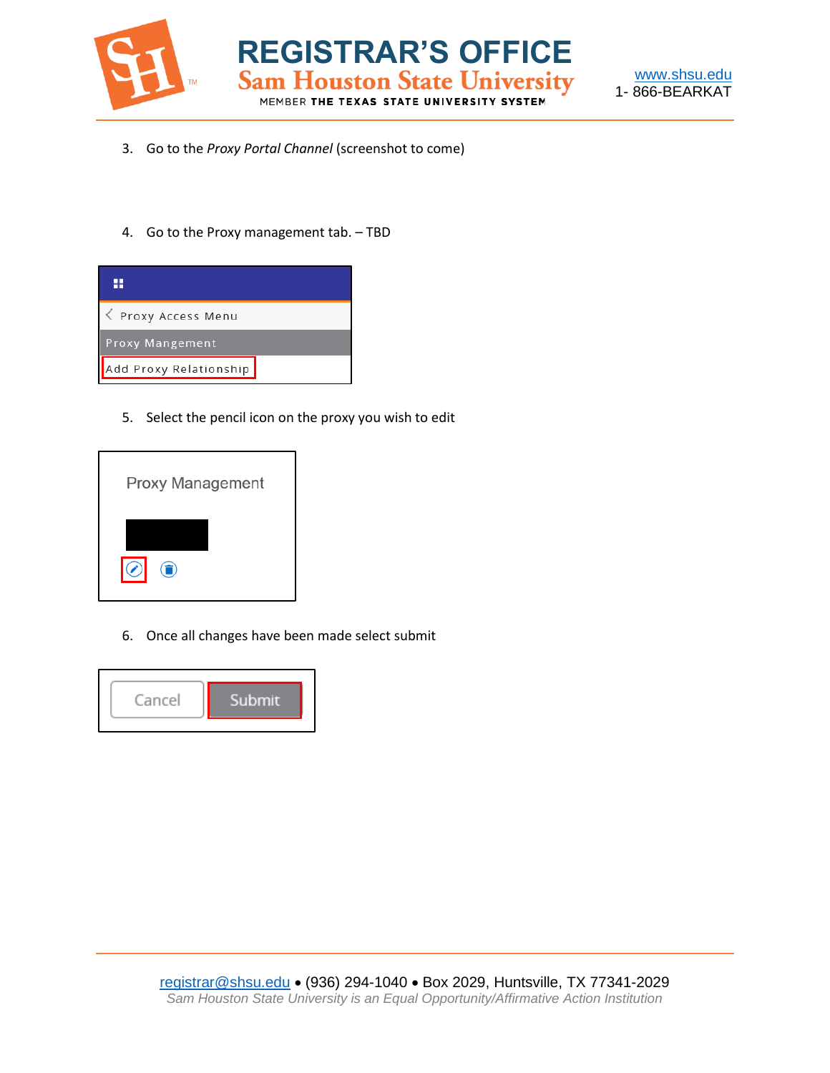



3. Go to the *Proxy Portal Channel* (screenshot to come)

**REGISTRAR'S OFFICE**<br>Sam Houston State University

MEMBER THE TEXAS STATE UNIVERSITY SYSTEM

4. Go to the Proxy management tab. – TBD



5. Select the pencil icon on the proxy you wish to edit



6. Once all changes have been made select submit

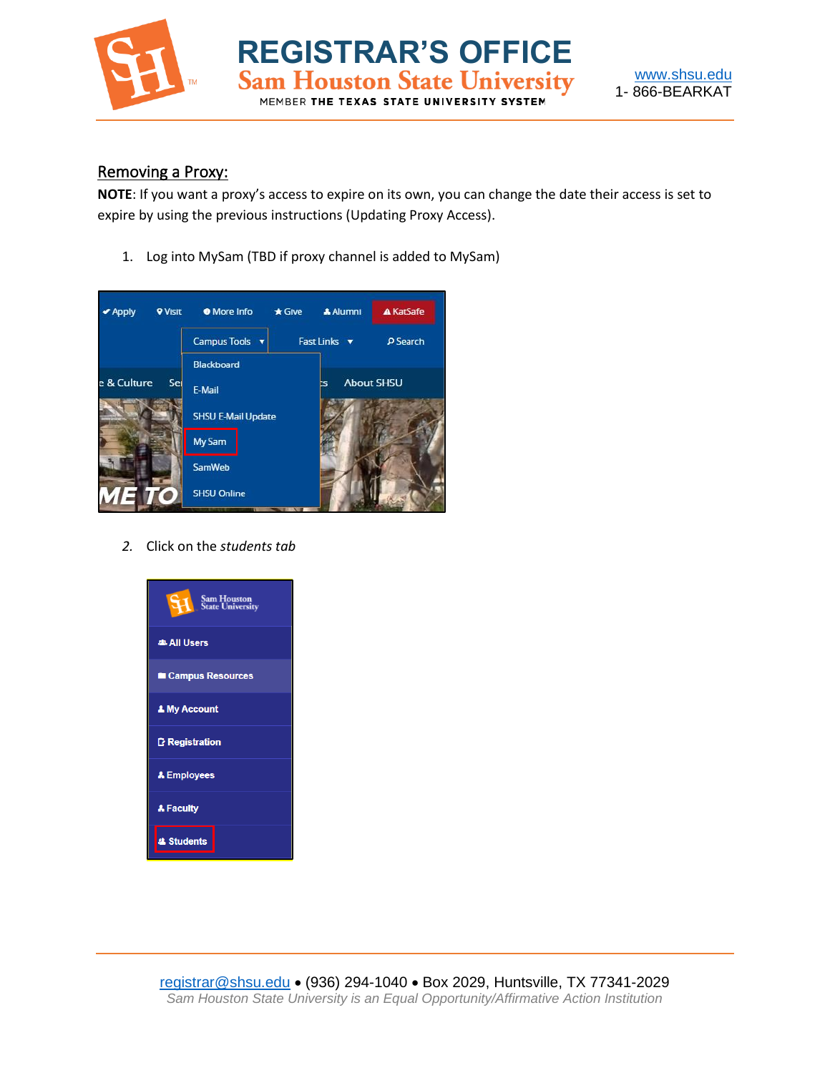

**REGISTRAR'S OFFICE**<br>Sam Houston State University MEMBER THE TEXAS STATE UNIVERSITY



## Removing a Proxy:

**NOTE**: If you want a proxy's access to expire on its own, you can change the date their access is set to expire by using the previous instructions (Updating Proxy Access).

1. Log into MySam (TBD if proxy channel is added to MySam)



*2.* Click on the *students tab*